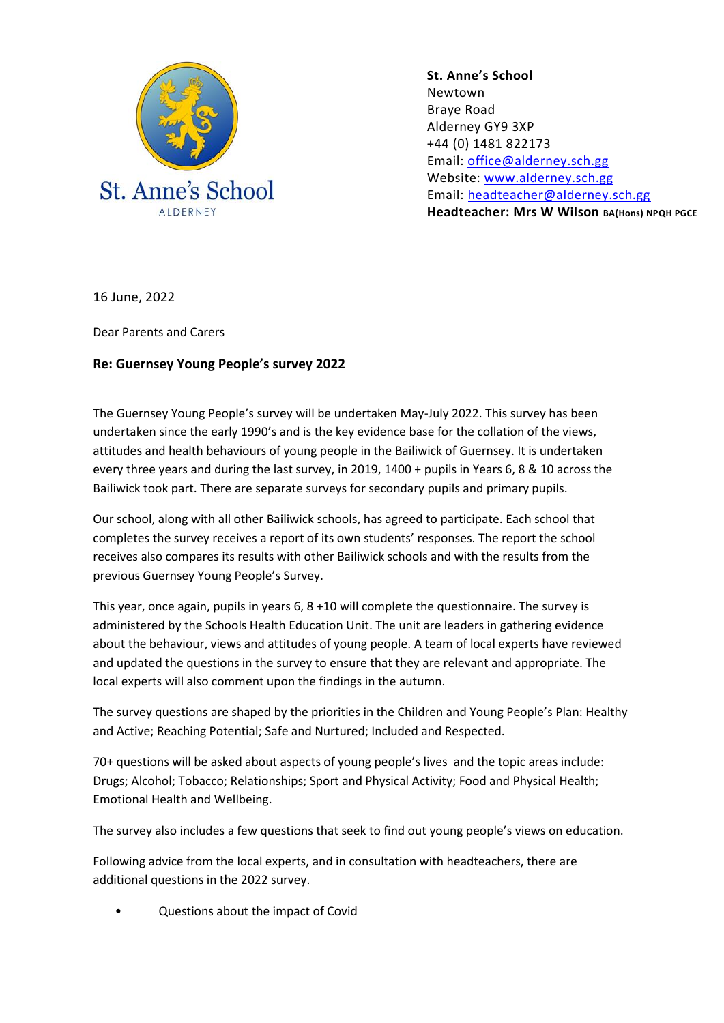

**St. Anne's School**  Newtown Braye Road Alderney GY9 3XP +44 (0) 1481 822173 Email: [office@alderney.sch.gg](mailto:office@alderney.sch.gg) Website: [www.alderney.sch.gg](http://www.alderney.sch.gg/) Email: [headteacher@alderney.sch.gg](mailto:headteacher@alderney.sch.gg) **Headteacher: Mrs W Wilson BA(Hons) NPQH PGCE**

16 June, 2022

Dear Parents and Carers

## **Re: Guernsey Young People's survey 2022**

The Guernsey Young People's survey will be undertaken May-July 2022. This survey has been undertaken since the early 1990's and is the key evidence base for the collation of the views, attitudes and health behaviours of young people in the Bailiwick of Guernsey. It is undertaken every three years and during the last survey, in 2019, 1400 + pupils in Years 6, 8 & 10 across the Bailiwick took part. There are separate surveys for secondary pupils and primary pupils.

Our school, along with all other Bailiwick schools, has agreed to participate. Each school that completes the survey receives a report of its own students' responses. The report the school receives also compares its results with other Bailiwick schools and with the results from the previous Guernsey Young People's Survey.

This year, once again, pupils in years 6, 8 +10 will complete the questionnaire. The survey is administered by the Schools Health Education Unit. The unit are leaders in gathering evidence about the behaviour, views and attitudes of young people. A team of local experts have reviewed and updated the questions in the survey to ensure that they are relevant and appropriate. The local experts will also comment upon the findings in the autumn.

The survey questions are shaped by the priorities in the Children and Young People's Plan: Healthy and Active; Reaching Potential; Safe and Nurtured; Included and Respected.

70+ questions will be asked about aspects of young people's lives and the topic areas include: Drugs; Alcohol; Tobacco; Relationships; Sport and Physical Activity; Food and Physical Health; Emotional Health and Wellbeing.

The survey also includes a few questions that seek to find out young people's views on education.

Following advice from the local experts, and in consultation with headteachers, there are additional questions in the 2022 survey.

• Questions about the impact of Covid